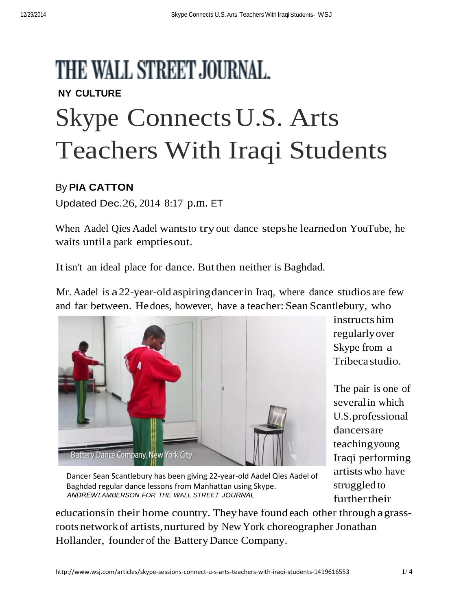## THE WALL STREET JOURNAL.

## **NY CULTURE** Skype ConnectsU.S. Arts Teachers With Iraqi Students

## By **PIA CATTON**

Updated Dec.26, 2014 8:17 p.m. ET

When Aadel Qies Aadel wantsto tryout dance stepshe learnedon YouTube, he waits until a park emptiesout.

Itisn't an ideal place for dance. Butthen neither is Baghdad.

Mr. Aadel is a22-year-old aspiringdancerin Iraq, where dance studios are few and far between. Hedoes, however, have a teacher: Sean Scantlebury, who



instructshim regularlyover Skype from a Tribeca studio.

The pair is one of severalin which U.S.professional dancersare teachingyoung Iraqi performing artistswho have struggled to further their

Dancer Sean Scantlebury has been giving 22-year-old Aadel Qies Aadel of Baghdad regular dance lessons from Manhattan using Skype. *LAMBERSON FOR THE WALL STREET*

educationsin their home country. They have found each other through agrassroots network of artists, nurtured by New York choreographer Jonathan Hollander, founder of the BatteryDance Company.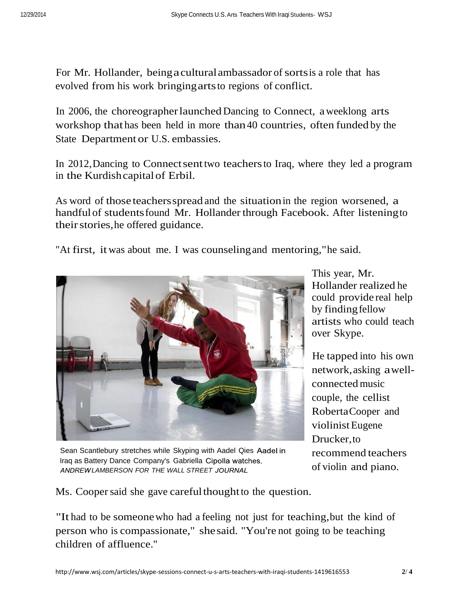For Mr. Hollander, being a cultural ambassador of sorts is a role that has evolved from his work bringingartsto regions of conflict.

In 2006, the choreographerlaunched Dancing to Connect, aweeklong arts workshop thathas been held in more than40 countries, often funded by the State Department or U.S. embassies.

In 2012,Dancing to Connectsenttwo teachersto Iraq, where they led a program in the Kurdishcapitalof Erbil.

As word of those teachersspread and the situationin the region worsened, a handfulof studentsfound Mr. Hollander through Facebook. After listeningto their stories, he offered guidance.

"At first, it was about me. I was counselingand mentoring,"he said.



Sean Scantlebury stretches while Skyping with Aadel Qies Aadel in Iraq as Battery Dance Company's Gabriella Cipolla watches. *LAMBERSON FOR THE WALL STREET*

This year, Mr. Hollander realized he could provide real help by findingfellow artists who could teach over Skype.

He tapped into his own network,asking awellconnectedmusic couple, the cellist RobertaCooper and violinistEugene Drucker,to recommend teachers of violin and piano.

Ms. Cooper said she gave careful thought to the question.

"It had to be someonewho had a feeling not just for teaching,but the kind of person who is compassionate," shesaid. "You're not going to be teaching children of affluence.''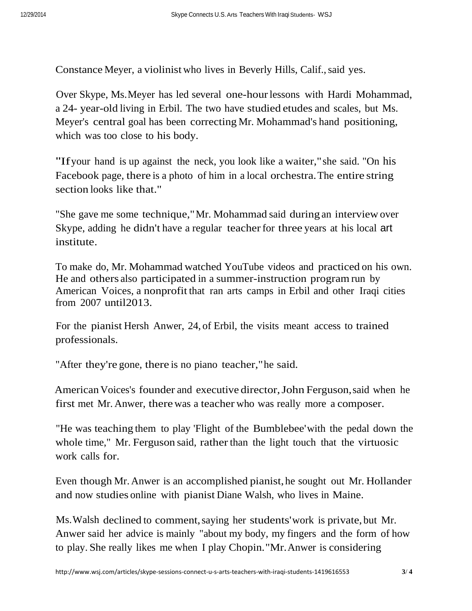Constance Meyer, a violinist who lives in Beverly Hills, Calif., said yes.

Over Skype, Ms.Meyer has led several one-hourlessons with Hardi Mohammad, a 24- year-old living in Erbil. The two have studied etudes and scales, but Ms. Meyer's central goal has been correcting Mr. Mohammad's hand positioning, which was too close to his body.

"Ifyour hand is up against the neck, you look like a waiter,"she said. "On his Facebook page, there is a photo of him in a local orchestra.The entire string section looks like that."

"She gave me some technique,"Mr. Mohammad said during an interviewover Skype, adding he didn't have a regular teacher for three years at his local art institute.

To make do, Mr. Mohammad watched YouTube videos and practiced on his own. He and others also participated in a summer-instruction program run by American Voices, a nonprofit that ran arts camps in Erbil and other Iraqi cities from 2007 until2013.

For the pianist Hersh Anwer, 24, of Erbil, the visits meant access to trained professionals.

"After they're gone, there is no piano teacher,"he said.

AmericanVoices's founder and executive director,John Ferguson,said when he first met Mr. Anwer, therewas a teacher who was really more a composer.

"He was teaching them to play 'Flight of the Bumblebee'with the pedal down the whole time," Mr. Ferguson said, rather than the light touch that the virtuosic work calls for.

Even though Mr. Anwer is an accomplished pianist,he sought out Mr. Hollander and now studies online with pianist Diane Walsh, who lives in Maine.

Ms.Walsh declined to comment,saying her students'work is private, but Mr. Anwer said her advice is mainly "about my body, my fingers and the form of how to play. She really likes me when I play Chopin."Mr.Anwer is considering